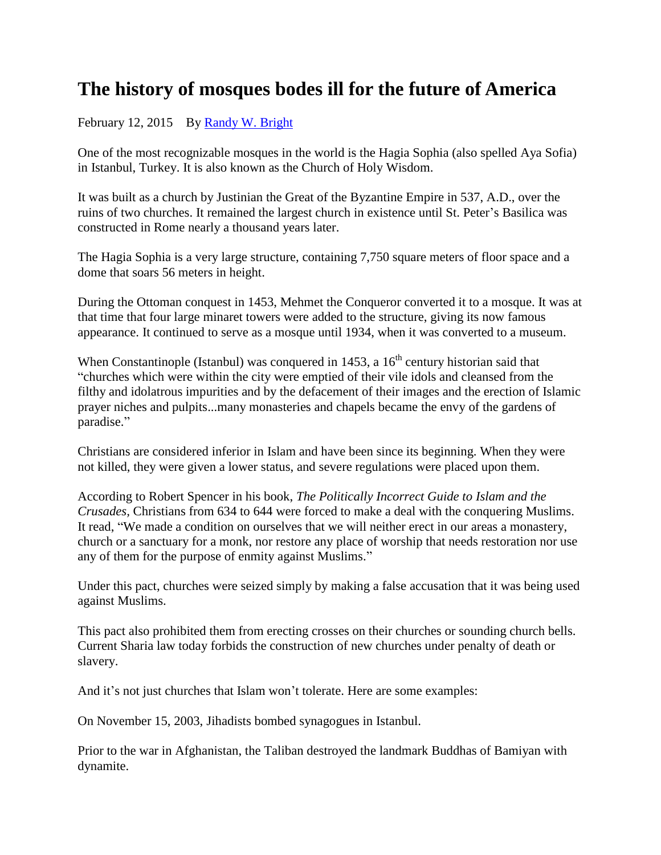## **The history of mosques bodes ill for the future of America**

## February 12, 2015 By [Randy W. Bright](http://www.tulsabeacon.com/author/slug-o6yd1v)

One of the most recognizable mosques in the world is the Hagia Sophia (also spelled Aya Sofia) in Istanbul, Turkey. It is also known as the Church of Holy Wisdom.

It was built as a church by Justinian the Great of the Byzantine Empire in 537, A.D., over the ruins of two churches. It remained the largest church in existence until St. Peter's Basilica was constructed in Rome nearly a thousand years later.

The Hagia Sophia is a very large structure, containing 7,750 square meters of floor space and a dome that soars 56 meters in height.

During the Ottoman conquest in 1453, Mehmet the Conqueror converted it to a mosque. It was at that time that four large minaret towers were added to the structure, giving its now famous appearance. It continued to serve as a mosque until 1934, when it was converted to a museum.

When Constantinople (Istanbul) was conquered in 1453, a  $16<sup>th</sup>$  century historian said that "churches which were within the city were emptied of their vile idols and cleansed from the filthy and idolatrous impurities and by the defacement of their images and the erection of Islamic prayer niches and pulpits...many monasteries and chapels became the envy of the gardens of paradise."

Christians are considered inferior in Islam and have been since its beginning. When they were not killed, they were given a lower status, and severe regulations were placed upon them.

According to Robert Spencer in his book, *The Politically Incorrect Guide to Islam and the Crusades,* Christians from 634 to 644 were forced to make a deal with the conquering Muslims. It read, "We made a condition on ourselves that we will neither erect in our areas a monastery, church or a sanctuary for a monk, nor restore any place of worship that needs restoration nor use any of them for the purpose of enmity against Muslims."

Under this pact, churches were seized simply by making a false accusation that it was being used against Muslims.

This pact also prohibited them from erecting crosses on their churches or sounding church bells. Current Sharia law today forbids the construction of new churches under penalty of death or slavery.

And it's not just churches that Islam won't tolerate. Here are some examples:

On November 15, 2003, Jihadists bombed synagogues in Istanbul.

Prior to the war in Afghanistan, the Taliban destroyed the landmark Buddhas of Bamiyan with dynamite.